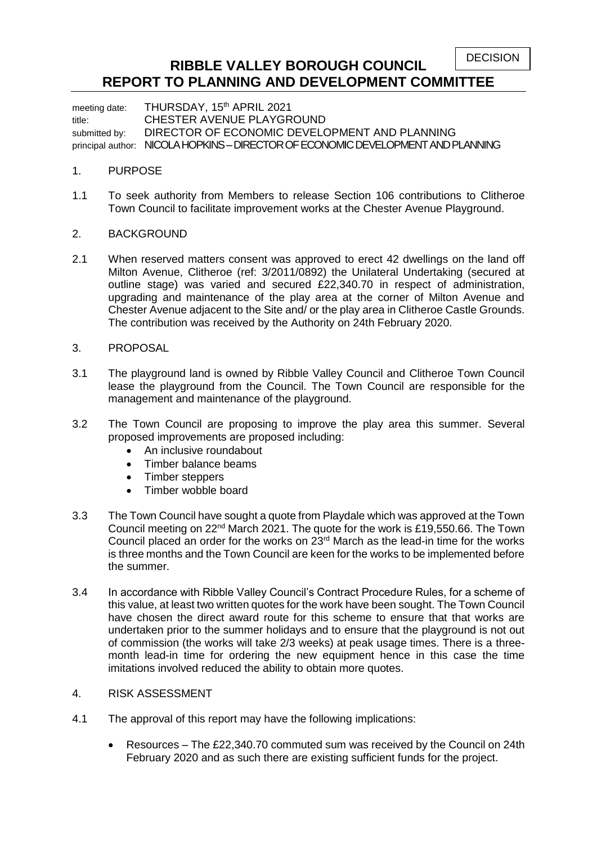DECISION

## **RIBBLE VALLEY BOROUGH COUNCIL REPORT TO PLANNING AND DEVELOPMENT COMMITTEE**

meeting date: THURSDAY, 15<sup>th</sup> APRIL 2021 title: CHESTER AVENUE PLAYGROUND submitted by: DIRECTOR OF ECONOMIC DEVELOPMENT AND PLANNING principal author: NICOLA HOPKINS – DIRECTOR OF ECONOMIC DEVELOPMENT AND PLANNING

## 1. PURPOSE

- 1.1 To seek authority from Members to release Section 106 contributions to Clitheroe Town Council to facilitate improvement works at the Chester Avenue Playground.
- 2. BACKGROUND
- 2.1 When reserved matters consent was approved to erect 42 dwellings on the land off Milton Avenue, Clitheroe (ref: 3/2011/0892) the Unilateral Undertaking (secured at outline stage) was varied and secured £22,340.70 in respect of administration, upgrading and maintenance of the play area at the corner of Milton Avenue and Chester Avenue adjacent to the Site and/ or the play area in Clitheroe Castle Grounds. The contribution was received by the Authority on 24th February 2020.
- 3. PROPOSAL
- 3.1 The playground land is owned by Ribble Valley Council and Clitheroe Town Council lease the playground from the Council. The Town Council are responsible for the management and maintenance of the playground.
- 3.2 The Town Council are proposing to improve the play area this summer. Several proposed improvements are proposed including:
	- An inclusive roundabout
	- Timber balance beams
	- Timber steppers
	- Timber wobble board
- 3.3 The Town Council have sought a quote from Playdale which was approved at the Town Council meeting on 22nd March 2021. The quote for the work is £19,550.66. The Town Council placed an order for the works on  $23<sup>rd</sup>$  March as the lead-in time for the works is three months and the Town Council are keen for the works to be implemented before the summer.
- 3.4 In accordance with Ribble Valley Council's Contract Procedure Rules, for a scheme of this value, at least two written quotes for the work have been sought. The Town Council have chosen the direct award route for this scheme to ensure that that works are undertaken prior to the summer holidays and to ensure that the playground is not out of commission (the works will take 2/3 weeks) at peak usage times. There is a threemonth lead-in time for ordering the new equipment hence in this case the time imitations involved reduced the ability to obtain more quotes.
- 4. RISK ASSESSMENT
- 4.1 The approval of this report may have the following implications:
	- Resources The £22,340.70 commuted sum was received by the Council on 24th February 2020 and as such there are existing sufficient funds for the project.